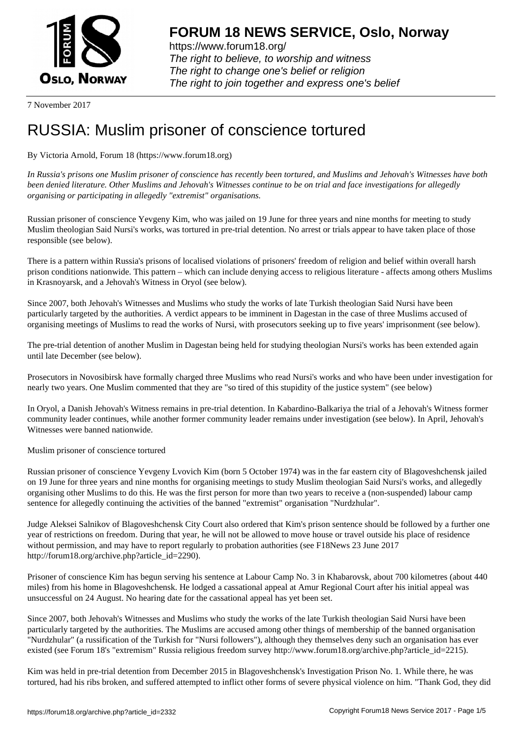

https://www.forum18.org/ The right to believe, to worship and witness The right to change one's belief or religion [The right to join together a](https://www.forum18.org/)nd express one's belief

7 November 2017

# [RUSSIA: Muslim](https://www.forum18.org) prisoner of conscience tortured

# By Victoria Arnold, Forum 18 (https://www.forum18.org)

*In Russia's prisons one Muslim prisoner of conscience has recently been tortured, and Muslims and Jehovah's Witnesses have both been denied literature. Other Muslims and Jehovah's Witnesses continue to be on trial and face investigations for allegedly organising or participating in allegedly "extremist" organisations.*

Russian prisoner of conscience Yevgeny Kim, who was jailed on 19 June for three years and nine months for meeting to study Muslim theologian Said Nursi's works, was tortured in pre-trial detention. No arrest or trials appear to have taken place of those responsible (see below).

There is a pattern within Russia's prisons of localised violations of prisoners' freedom of religion and belief within overall harsh prison conditions nationwide. This pattern – which can include denying access to religious literature - affects among others Muslims in Krasnoyarsk, and a Jehovah's Witness in Oryol (see below).

Since 2007, both Jehovah's Witnesses and Muslims who study the works of late Turkish theologian Said Nursi have been particularly targeted by the authorities. A verdict appears to be imminent in Dagestan in the case of three Muslims accused of organising meetings of Muslims to read the works of Nursi, with prosecutors seeking up to five years' imprisonment (see below).

The pre-trial detention of another Muslim in Dagestan being held for studying theologian Nursi's works has been extended again until late December (see below).

Prosecutors in Novosibirsk have formally charged three Muslims who read Nursi's works and who have been under investigation for nearly two years. One Muslim commented that they are "so tired of this stupidity of the justice system" (see below)

In Oryol, a Danish Jehovah's Witness remains in pre-trial detention. In Kabardino-Balkariya the trial of a Jehovah's Witness former community leader continues, while another former community leader remains under investigation (see below). In April, Jehovah's Witnesses were banned nationwide.

Muslim prisoner of conscience tortured

Russian prisoner of conscience Yevgeny Lvovich Kim (born 5 October 1974) was in the far eastern city of Blagoveshchensk jailed on 19 June for three years and nine months for organising meetings to study Muslim theologian Said Nursi's works, and allegedly organising other Muslims to do this. He was the first person for more than two years to receive a (non-suspended) labour camp sentence for allegedly continuing the activities of the banned "extremist" organisation "Nurdzhular".

Judge Aleksei Salnikov of Blagoveshchensk City Court also ordered that Kim's prison sentence should be followed by a further one year of restrictions on freedom. During that year, he will not be allowed to move house or travel outside his place of residence without permission, and may have to report regularly to probation authorities (see F18News 23 June 2017 http://forum18.org/archive.php?article\_id=2290).

Prisoner of conscience Kim has begun serving his sentence at Labour Camp No. 3 in Khabarovsk, about 700 kilometres (about 440 miles) from his home in Blagoveshchensk. He lodged a cassational appeal at Amur Regional Court after his initial appeal was unsuccessful on 24 August. No hearing date for the cassational appeal has yet been set.

Since 2007, both Jehovah's Witnesses and Muslims who study the works of the late Turkish theologian Said Nursi have been particularly targeted by the authorities. The Muslims are accused among other things of membership of the banned organisation "Nurdzhular" (a russification of the Turkish for "Nursi followers"), although they themselves deny such an organisation has ever existed (see Forum 18's "extremism" Russia religious freedom survey http://www.forum18.org/archive.php?article\_id=2215).

Kim was held in pre-trial detention from December 2015 in Blagoveshchensk's Investigation Prison No. 1. While there, he was tortured, had his ribs broken, and suffered attempted to inflict other forms of severe physical violence on him. "Thank God, they did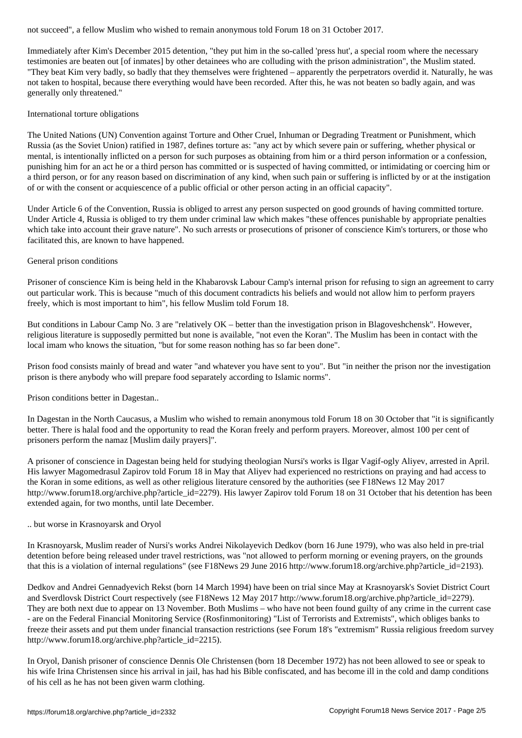Immediately after Kim's December 2015 detention, "they put him in the so-called 'press hut', a special room where the necessary testimonies are beaten out [of inmates] by other detainees who are colluding with the prison administration", the Muslim stated. "They beat Kim very badly, so badly that they themselves were frightened – apparently the perpetrators overdid it. Naturally, he was not taken to hospital, because there everything would have been recorded. After this, he was not beaten so badly again, and was generally only threatened."

### International torture obligations

The United Nations (UN) Convention against Torture and Other Cruel, Inhuman or Degrading Treatment or Punishment, which Russia (as the Soviet Union) ratified in 1987, defines torture as: "any act by which severe pain or suffering, whether physical or mental, is intentionally inflicted on a person for such purposes as obtaining from him or a third person information or a confession, punishing him for an act he or a third person has committed or is suspected of having committed, or intimidating or coercing him or a third person, or for any reason based on discrimination of any kind, when such pain or suffering is inflicted by or at the instigation of or with the consent or acquiescence of a public official or other person acting in an official capacity".

Under Article 6 of the Convention, Russia is obliged to arrest any person suspected on good grounds of having committed torture. Under Article 4, Russia is obliged to try them under criminal law which makes "these offences punishable by appropriate penalties which take into account their grave nature". No such arrests or prosecutions of prisoner of conscience Kim's torturers, or those who facilitated this, are known to have happened.

## General prison conditions

Prisoner of conscience Kim is being held in the Khabarovsk Labour Camp's internal prison for refusing to sign an agreement to carry out particular work. This is because "much of this document contradicts his beliefs and would not allow him to perform prayers freely, which is most important to him", his fellow Muslim told Forum 18.

But conditions in Labour Camp No. 3 are "relatively OK – better than the investigation prison in Blagoveshchensk". However, religious literature is supposedly permitted but none is available, "not even the Koran". The Muslim has been in contact with the local imam who knows the situation, "but for some reason nothing has so far been done".

Prison food consists mainly of bread and water "and whatever you have sent to you". But "in neither the prison nor the investigation prison is there anybody who will prepare food separately according to Islamic norms".

Prison conditions better in Dagestan..

In Dagestan in the North Caucasus, a Muslim who wished to remain anonymous told Forum 18 on 30 October that "it is significantly better. There is halal food and the opportunity to read the Koran freely and perform prayers. Moreover, almost 100 per cent of prisoners perform the namaz [Muslim daily prayers]".

A prisoner of conscience in Dagestan being held for studying theologian Nursi's works is Ilgar Vagif-ogly Aliyev, arrested in April. His lawyer Magomedrasul Zapirov told Forum 18 in May that Aliyev had experienced no restrictions on praying and had access to the Koran in some editions, as well as other religious literature censored by the authorities (see F18News 12 May 2017 http://www.forum18.org/archive.php?article\_id=2279). His lawyer Zapirov told Forum 18 on 31 October that his detention has been extended again, for two months, until late December.

#### .. but worse in Krasnoyarsk and Oryol

In Krasnoyarsk, Muslim reader of Nursi's works Andrei Nikolayevich Dedkov (born 16 June 1979), who was also held in pre-trial detention before being released under travel restrictions, was "not allowed to perform morning or evening prayers, on the grounds that this is a violation of internal regulations" (see F18News 29 June 2016 http://www.forum18.org/archive.php?article\_id=2193).

Dedkov and Andrei Gennadyevich Rekst (born 14 March 1994) have been on trial since May at Krasnoyarsk's Soviet District Court and Sverdlovsk District Court respectively (see F18News 12 May 2017 http://www.forum18.org/archive.php?article\_id=2279). They are both next due to appear on 13 November. Both Muslims – who have not been found guilty of any crime in the current case - are on the Federal Financial Monitoring Service (Rosfinmonitoring) "List of Terrorists and Extremists", which obliges banks to freeze their assets and put them under financial transaction restrictions (see Forum 18's "extremism" Russia religious freedom survey http://www.forum18.org/archive.php?article\_id=2215).

In Oryol, Danish prisoner of conscience Dennis Ole Christensen (born 18 December 1972) has not been allowed to see or speak to his wife Irina Christensen since his arrival in jail, has had his Bible confiscated, and has become ill in the cold and damp conditions of his cell as he has not been given warm clothing.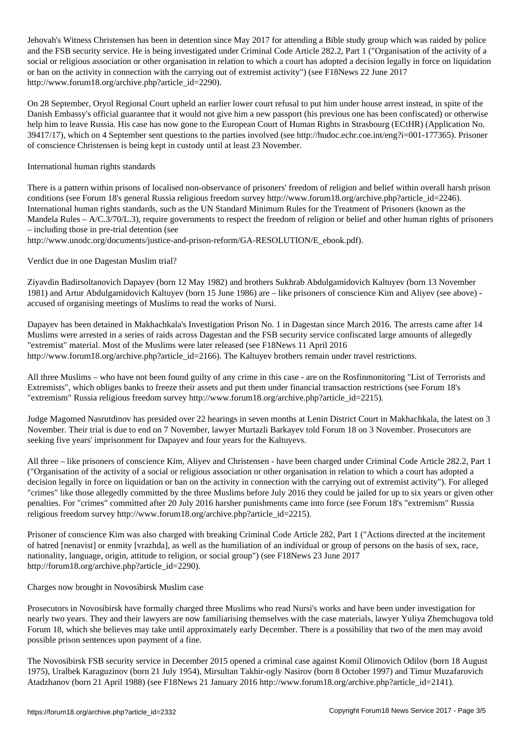Jehovah's Witness Christensen has been in detention since May 2017 for attending a Bible study group which was raided by police and the FSB security service. He is being investigated under Criminal Code Article 282.2, Part 1 ("Organisation of the activity of a social or religious association or other organisation in relation to which a court has adopted a decision legally in force on liquidation or ban on the activity in connection with the carrying out of extremist activity") (see F18News 22 June 2017 http://www.forum18.org/archive.php?article\_id=2290).

On 28 September, Oryol Regional Court upheld an earlier lower court refusal to put him under house arrest instead, in spite of the Danish Embassy's official guarantee that it would not give him a new passport (his previous one has been confiscated) or otherwise help him to leave Russia. His case has now gone to the European Court of Human Rights in Strasbourg (ECtHR) (Application No. 39417/17), which on 4 September sent questions to the parties involved (see http://hudoc.echr.coe.int/eng?i=001-177365). Prisoner of conscience Christensen is being kept in custody until at least 23 November.

### International human rights standards

There is a pattern within prisons of localised non-observance of prisoners' freedom of religion and belief within overall harsh prison conditions (see Forum 18's general Russia religious freedom survey http://www.forum18.org/archive.php?article\_id=2246). International human rights standards, such as the UN Standard Minimum Rules for the Treatment of Prisoners (known as the Mandela Rules – A/C.3/70/L.3), require governments to respect the freedom of religion or belief and other human rights of prisoners – including those in pre-trial detention (see

http://www.unodc.org/documents/justice-and-prison-reform/GA-RESOLUTION/E\_ebook.pdf).

Verdict due in one Dagestan Muslim trial?

Ziyavdin Badirsoltanovich Dapayev (born 12 May 1982) and brothers Sukhrab Abdulgamidovich Kaltuyev (born 13 November 1981) and Artur Abdulgamidovich Kaltuyev (born 15 June 1986) are – like prisoners of conscience Kim and Aliyev (see above) accused of organising meetings of Muslims to read the works of Nursi.

Dapayev has been detained in Makhachkala's Investigation Prison No. 1 in Dagestan since March 2016. The arrests came after 14 Muslims were arrested in a series of raids across Dagestan and the FSB security service confiscated large amounts of allegedly "extremist" material. Most of the Muslims were later released (see F18News 11 April 2016 http://www.forum18.org/archive.php?article\_id=2166). The Kaltuyev brothers remain under travel restrictions.

All three Muslims – who have not been found guilty of any crime in this case - are on the Rosfinmonitoring "List of Terrorists and Extremists", which obliges banks to freeze their assets and put them under financial transaction restrictions (see Forum 18's "extremism" Russia religious freedom survey http://www.forum18.org/archive.php?article\_id=2215).

Judge Magomed Nasrutdinov has presided over 22 hearings in seven months at Lenin District Court in Makhachkala, the latest on 3 November. Their trial is due to end on 7 November, lawyer Murtazli Barkayev told Forum 18 on 3 November. Prosecutors are seeking five years' imprisonment for Dapayev and four years for the Kaltuyevs.

All three – like prisoners of conscience Kim, Aliyev and Christensen - have been charged under Criminal Code Article 282.2, Part 1 ("Organisation of the activity of a social or religious association or other organisation in relation to which a court has adopted a decision legally in force on liquidation or ban on the activity in connection with the carrying out of extremist activity"). For alleged "crimes" like those allegedly committed by the three Muslims before July 2016 they could be jailed for up to six years or given other penalties. For "crimes" committed after 20 July 2016 harsher punishments came into force (see Forum 18's "extremism" Russia religious freedom survey http://www.forum18.org/archive.php?article\_id=2215).

Prisoner of conscience Kim was also charged with breaking Criminal Code Article 282, Part 1 ("Actions directed at the incitement of hatred [nenavist] or enmity [vrazhda], as well as the humiliation of an individual or group of persons on the basis of sex, race, nationality, language, origin, attitude to religion, or social group") (see F18News 23 June 2017 http://forum18.org/archive.php?article\_id=2290).

#### Charges now brought in Novosibirsk Muslim case

Prosecutors in Novosibirsk have formally charged three Muslims who read Nursi's works and have been under investigation for nearly two years. They and their lawyers are now familiarising themselves with the case materials, lawyer Yuliya Zhemchugova told Forum 18, which she believes may take until approximately early December. There is a possibility that two of the men may avoid possible prison sentences upon payment of a fine.

The Novosibirsk FSB security service in December 2015 opened a criminal case against Komil Olimovich Odilov (born 18 August 1975), Uralbek Karaguzinov (born 21 July 1954), Mirsultan Takhir-ogly Nasirov (born 8 October 1997) and Timur Muzafarovich Atadzhanov (born 21 April 1988) (see F18News 21 January 2016 http://www.forum18.org/archive.php?article\_id=2141).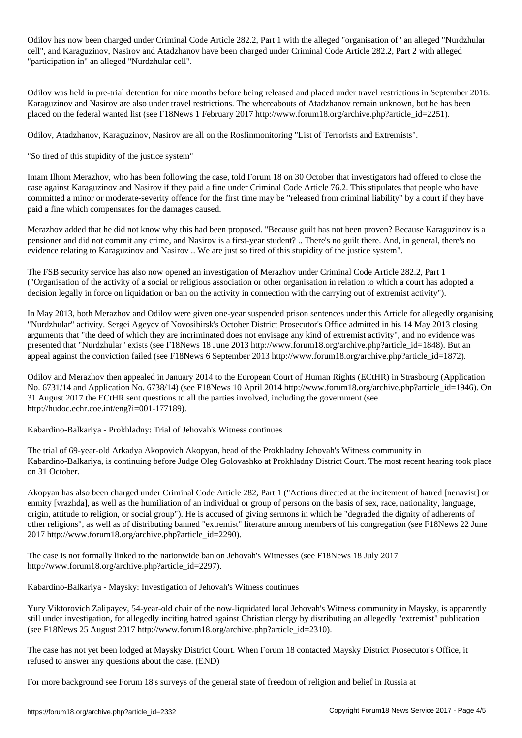Odilov has now been charged under Criminal Code Article 282.2, Part 1 with the alleged "organisation of" an alleged "Nurdzhular cell", and Karaguzinov, Nasirov and Atadzhanov have been charged under Criminal Code Article 282.2, Part 2 with alleged "participation in" an alleged "Nurdzhular cell".

Odilov was held in pre-trial detention for nine months before being released and placed under travel restrictions in September 2016. Karaguzinov and Nasirov are also under travel restrictions. The whereabouts of Atadzhanov remain unknown, but he has been placed on the federal wanted list (see F18News 1 February 2017 http://www.forum18.org/archive.php?article\_id=2251).

Odilov, Atadzhanov, Karaguzinov, Nasirov are all on the Rosfinmonitoring "List of Terrorists and Extremists".

"So tired of this stupidity of the justice system"

Imam Ilhom Merazhov, who has been following the case, told Forum 18 on 30 October that investigators had offered to close the case against Karaguzinov and Nasirov if they paid a fine under Criminal Code Article 76.2. This stipulates that people who have committed a minor or moderate-severity offence for the first time may be "released from criminal liability" by a court if they have paid a fine which compensates for the damages caused.

Merazhov added that he did not know why this had been proposed. "Because guilt has not been proven? Because Karaguzinov is a pensioner and did not commit any crime, and Nasirov is a first-year student? .. There's no guilt there. And, in general, there's no evidence relating to Karaguzinov and Nasirov .. We are just so tired of this stupidity of the justice system".

The FSB security service has also now opened an investigation of Merazhov under Criminal Code Article 282.2, Part 1 ("Organisation of the activity of a social or religious association or other organisation in relation to which a court has adopted a decision legally in force on liquidation or ban on the activity in connection with the carrying out of extremist activity").

In May 2013, both Merazhov and Odilov were given one-year suspended prison sentences under this Article for allegedly organising "Nurdzhular" activity. Sergei Ageyev of Novosibirsk's October District Prosecutor's Office admitted in his 14 May 2013 closing arguments that "the deed of which they are incriminated does not envisage any kind of extremist activity", and no evidence was presented that "Nurdzhular" exists (see F18News 18 June 2013 http://www.forum18.org/archive.php?article\_id=1848). But an appeal against the conviction failed (see F18News 6 September 2013 http://www.forum18.org/archive.php?article\_id=1872).

Odilov and Merazhov then appealed in January 2014 to the European Court of Human Rights (ECtHR) in Strasbourg (Application No. 6731/14 and Application No. 6738/14) (see F18News 10 April 2014 http://www.forum18.org/archive.php?article\_id=1946). On 31 August 2017 the ECtHR sent questions to all the parties involved, including the government (see http://hudoc.echr.coe.int/eng?i=001-177189).

Kabardino-Balkariya - Prokhladny: Trial of Jehovah's Witness continues

The trial of 69-year-old Arkadya Akopovich Akopyan, head of the Prokhladny Jehovah's Witness community in Kabardino-Balkariya, is continuing before Judge Oleg Golovashko at Prokhladny District Court. The most recent hearing took place on 31 October.

Akopyan has also been charged under Criminal Code Article 282, Part 1 ("Actions directed at the incitement of hatred [nenavist] or enmity [vrazhda], as well as the humiliation of an individual or group of persons on the basis of sex, race, nationality, language, origin, attitude to religion, or social group"). He is accused of giving sermons in which he "degraded the dignity of adherents of other religions", as well as of distributing banned "extremist" literature among members of his congregation (see F18News 22 June 2017 http://www.forum18.org/archive.php?article\_id=2290).

The case is not formally linked to the nationwide ban on Jehovah's Witnesses (see F18News 18 July 2017 http://www.forum18.org/archive.php?article\_id=2297).

Kabardino-Balkariya - Maysky: Investigation of Jehovah's Witness continues

Yury Viktorovich Zalipayev, 54-year-old chair of the now-liquidated local Jehovah's Witness community in Maysky, is apparently still under investigation, for allegedly inciting hatred against Christian clergy by distributing an allegedly "extremist" publication (see F18News 25 August 2017 http://www.forum18.org/archive.php?article\_id=2310).

The case has not yet been lodged at Maysky District Court. When Forum 18 contacted Maysky District Prosecutor's Office, it refused to answer any questions about the case. (END)

For more background see Forum 18's surveys of the general state of freedom of religion and belief in Russia at